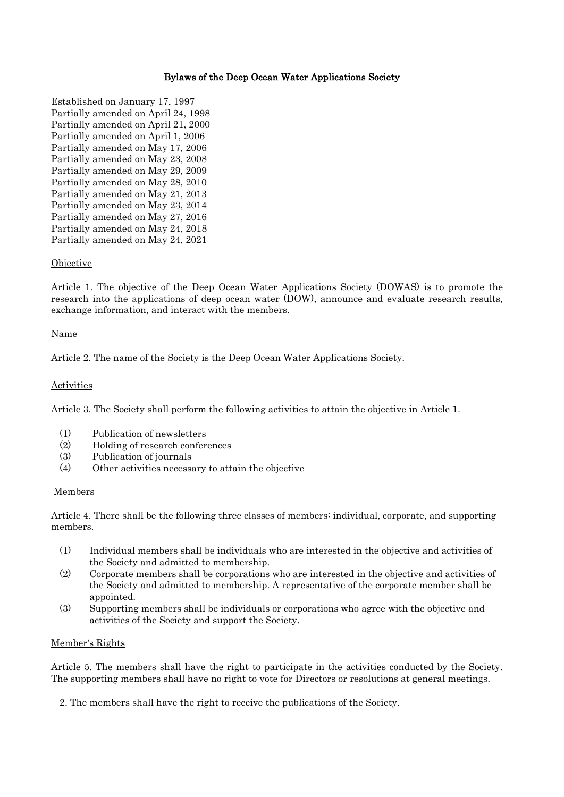# Bylaws of the Deep Ocean Water Applications Society

Established on January 17, 1997 Partially amended on April 24, 1998 Partially amended on April 21, 2000 Partially amended on April 1, 2006 Partially amended on May 17, 2006 Partially amended on May 23, 2008 Partially amended on May 29, 2009 Partially amended on May 28, 2010 Partially amended on May 21, 2013 Partially amended on May 23, 2014 Partially amended on May 27, 2016 Partially amended on May 24, 2018 Partially amended on May 24, 2021

# **Objective**

Article 1. The objective of the Deep Ocean Water Applications Society (DOWAS) is to promote the research into the applications of deep ocean water (DOW), announce and evaluate research results, exchange information, and interact with the members.

### Name

Article 2. The name of the Society is the Deep Ocean Water Applications Society.

# **Activities**

Article 3. The Society shall perform the following activities to attain the objective in Article 1.

- (1) Publication of newsletters
- (2) Holding of research conferences
- (3) Publication of journals
- (4) Other activities necessary to attain the objective

### Members

Article 4. There shall be the following three classes of members: individual, corporate, and supporting members.

- (1) Individual members shall be individuals who are interested in the objective and activities of the Society and admitted to membership.
- (2) Corporate members shall be corporations who are interested in the objective and activities of the Society and admitted to membership. A representative of the corporate member shall be appointed.
- (3) Supporting members shall be individuals or corporations who agree with the objective and activities of the Society and support the Society.

## Member's Rights

Article 5. The members shall have the right to participate in the activities conducted by the Society. The supporting members shall have no right to vote for Directors or resolutions at general meetings.

2. The members shall have the right to receive the publications of the Society.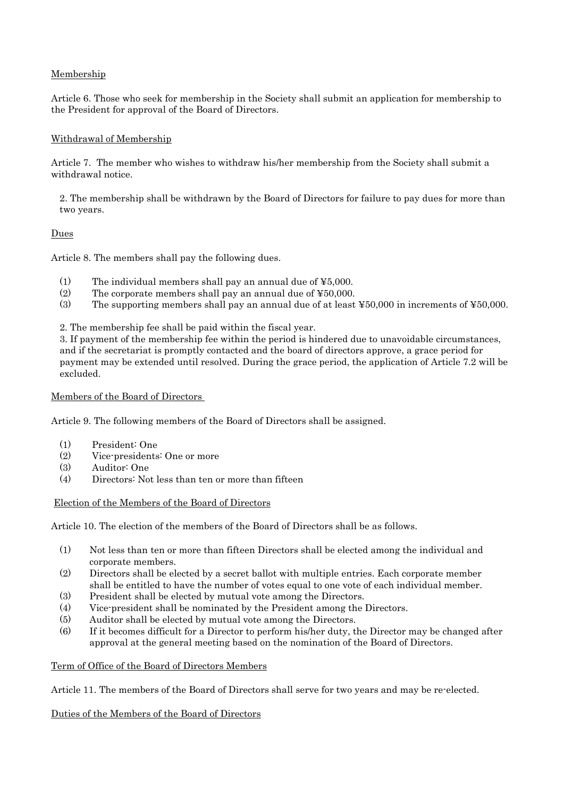# Membership

Article 6. Those who seek for membership in the Society shall submit an application for membership to the President for approval of the Board of Directors.

# Withdrawal of Membership

Article 7. The member who wishes to withdraw his/her membership from the Society shall submit a withdrawal notice.

2. The membership shall be withdrawn by the Board of Directors for failure to pay dues for more than two years.

# Dues

Article 8. The members shall pay the following dues.

- (1) The individual members shall pay an annual due of  $\yen 5,000$ .
- (2) The corporate members shall pay an annual due of ¥50,000.
- (3) The supporting members shall pay an annual due of at least ¥50,000 in increments of ¥50,000.

2. The membership fee shall be paid within the fiscal year.

3. If payment of the membership fee within the period is hindered due to unavoidable circumstances, and if the secretariat is promptly contacted and the board of directors approve, a grace period for payment may be extended until resolved. During the grace period, the application of Article 7.2 will be excluded.

## Members of the Board of Directors

Article 9. The following members of the Board of Directors shall be assigned.

- (1) President: One
- (2) Vice-presidents: One or more
- (3) Auditor: One
- (4) Directors: Not less than ten or more than fifteen

Election of the Members of the Board of Directors

Article 10. The election of the members of the Board of Directors shall be as follows.

- (1) Not less than ten or more than fifteen Directors shall be elected among the individual and corporate members.
- (2) Directors shall be elected by a secret ballot with multiple entries. Each corporate member shall be entitled to have the number of votes equal to one vote of each individual member.
- (3) President shall be elected by mutual vote among the Directors.
- (4) Vice-president shall be nominated by the President among the Directors.
- (5) Auditor shall be elected by mutual vote among the Directors.
- (6) If it becomes difficult for a Director to perform his/her duty, the Director may be changed after approval at the general meeting based on the nomination of the Board of Directors.

### Term of Office of the Board of Directors Members

Article 11. The members of the Board of Directors shall serve for two years and may be re-elected.

Duties of the Members of the Board of Directors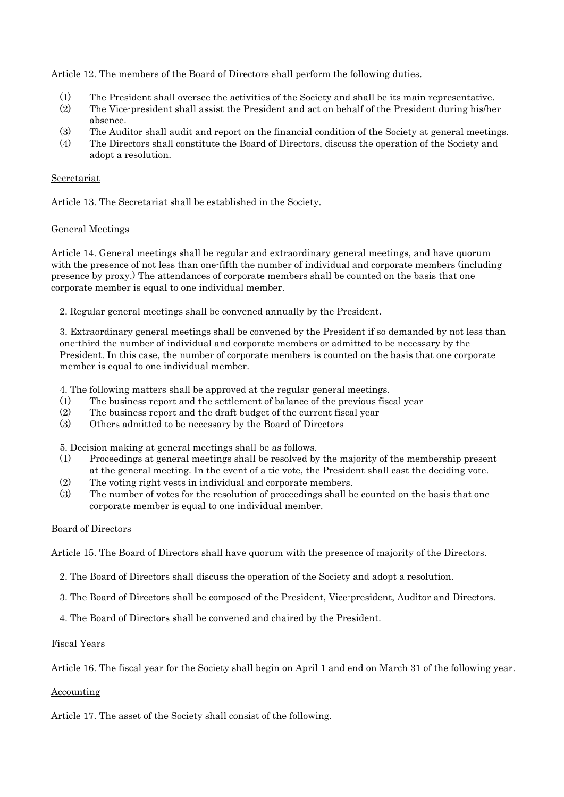Article 12. The members of the Board of Directors shall perform the following duties.

- (1) The President shall oversee the activities of the Society and shall be its main representative.
- (2) The Vice-president shall assist the President and act on behalf of the President during his/her absence.
- (3) The Auditor shall audit and report on the financial condition of the Society at general meetings.
- (4) The Directors shall constitute the Board of Directors, discuss the operation of the Society and adopt a resolution.

# Secretariat

Article 13. The Secretariat shall be established in the Society.

# General Meetings

Article 14. General meetings shall be regular and extraordinary general meetings, and have quorum with the presence of not less than one-fifth the number of individual and corporate members (including presence by proxy.) The attendances of corporate members shall be counted on the basis that one corporate member is equal to one individual member.

2. Regular general meetings shall be convened annually by the President.

3. Extraordinary general meetings shall be convened by the President if so demanded by not less than one-third the number of individual and corporate members or admitted to be necessary by the President. In this case, the number of corporate members is counted on the basis that one corporate member is equal to one individual member.

4. The following matters shall be approved at the regular general meetings.

- (1) The business report and the settlement of balance of the previous fiscal year
- (2) The business report and the draft budget of the current fiscal year
- (3) Others admitted to be necessary by the Board of Directors

5. Decision making at general meetings shall be as follows.

- (1) Proceedings at general meetings shall be resolved by the majority of the membership present at the general meeting. In the event of a tie vote, the President shall cast the deciding vote.
- (2) The voting right vests in individual and corporate members.
- (3) The number of votes for the resolution of proceedings shall be counted on the basis that one corporate member is equal to one individual member.

# Board of Directors

Article 15. The Board of Directors shall have quorum with the presence of majority of the Directors.

- 2. The Board of Directors shall discuss the operation of the Society and adopt a resolution.
- 3. The Board of Directors shall be composed of the President, Vice-president, Auditor and Directors.
- 4. The Board of Directors shall be convened and chaired by the President.

### Fiscal Years

Article 16. The fiscal year for the Society shall begin on April 1 and end on March 31 of the following year.

### Accounting

Article 17. The asset of the Society shall consist of the following.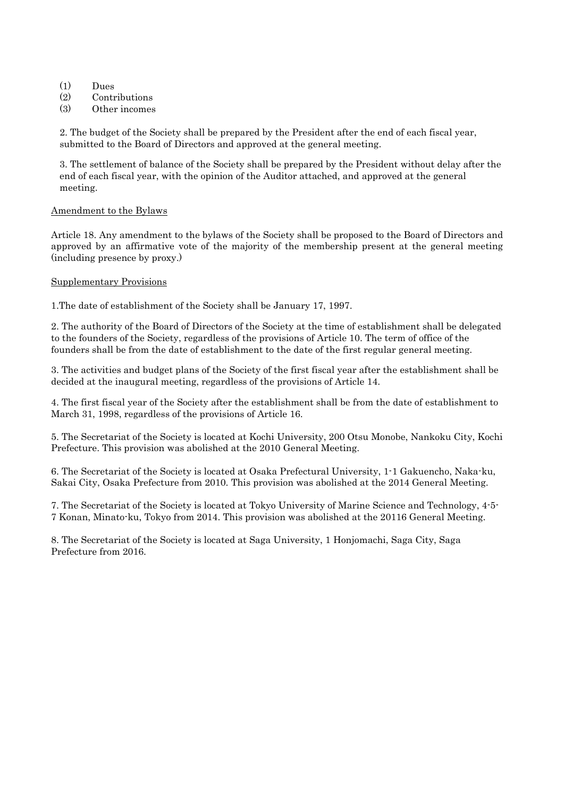- (1) Dues
- (2) Contributions
- (3) Other incomes

2. The budget of the Society shall be prepared by the President after the end of each fiscal year, submitted to the Board of Directors and approved at the general meeting.

3. The settlement of balance of the Society shall be prepared by the President without delay after the end of each fiscal year, with the opinion of the Auditor attached, and approved at the general meeting.

# Amendment to the Bylaws

Article 18. Any amendment to the bylaws of the Society shall be proposed to the Board of Directors and approved by an affirmative vote of the majority of the membership present at the general meeting (including presence by proxy.)

# Supplementary Provisions

1.The date of establishment of the Society shall be January 17, 1997.

2. The authority of the Board of Directors of the Society at the time of establishment shall be delegated to the founders of the Society, regardless of the provisions of Article 10. The term of office of the founders shall be from the date of establishment to the date of the first regular general meeting.

3. The activities and budget plans of the Society of the first fiscal year after the establishment shall be decided at the inaugural meeting, regardless of the provisions of Article 14.

4. The first fiscal year of the Society after the establishment shall be from the date of establishment to March 31, 1998, regardless of the provisions of Article 16.

5. The Secretariat of the Society is located at Kochi University, 200 Otsu Monobe, Nankoku City, Kochi Prefecture. This provision was abolished at the 2010 General Meeting.

6. The Secretariat of the Society is located at Osaka Prefectural University, 1-1 Gakuencho, Naka-ku, Sakai City, Osaka Prefecture from 2010. This provision was abolished at the 2014 General Meeting.

7. The Secretariat of the Society is located at Tokyo University of Marine Science and Technology, 4-5- 7 Konan, Minato-ku, Tokyo from 2014. This provision was abolished at the 20116 General Meeting.

8. The Secretariat of the Society is located at Saga University, 1 Honjomachi, Saga City, Saga Prefecture from 2016.